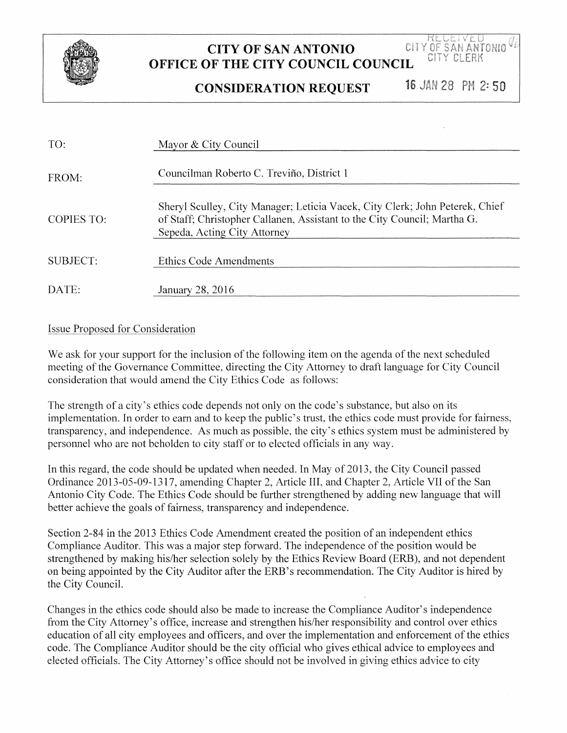

## **CITY OF SAN ANTONIO OFFICE OF THE CITY COUNCIL COUNCIL COUNCIL PROPERTIES OF THE CITY COUNCIL COUNCIL**

**CONSIDERATION REQUEST** 

16 JAN 28 PM 2:50

| TO:        | Mayor & City Council                                                                                                                                                                     |
|------------|------------------------------------------------------------------------------------------------------------------------------------------------------------------------------------------|
| FROM:      | Councilman Roberto C. Treviño, District 1                                                                                                                                                |
| COPIES TO: | Sheryl Sculley, City Manager; Leticia Vacek, City Clerk; John Peterek, Chief<br>of Staff; Christopher Callanen, Assistant to the City Council; Martha G.<br>Sepeda, Acting City Attorney |
| SUBJECT:   | Ethics Code Amendments                                                                                                                                                                   |
| DATE:      | January 28, 2016                                                                                                                                                                         |

## Issue Proposed for Consideration

We ask for your support for the inclusion of the following item on the agenda of the next scheduled meeting of the Governance Committee, directing the City Attorney to draft language for City Council consideration that would amend the City Ethics Code as follows:

The strength of a city's ethics code depends not only on the code's substance, but also on its implementation. In order to earn and to keep the public's trust, the ethics code must provide for fairness, transparency, and independence. As much as possible, the city's ethics system must be administered by personnel who are not beholden to city staff or to elected officials in any way.

In this regard, the code should be updated when needed. In May of2013, the City Council passed Ordinance 2013-05-09-1317, amending Chapter 2, Article III, and Chapter 2, Article VII of the San Antonio City Code. The Ethics Code should be further strengthened by adding new language that will better achieve the goals of fairness, transparency and independence.

Section 2-84 in the 2013 Ethics Code Amendment created the position of an independent ethics Compliance Auditor. This was a major step forward. The independence of the position would be strengthened by making his/her selection solely by the Ethics Review Board (ERB), and not dependent on being appointed by the City Auditor after the ERB' s recommendation. The City Auditor is hired by the City Council.

Changes in the ethics code should also be made to increase the Compliance Auditor's independence from the City Attorney's office, increase and strengthen his/her responsibility and control over ethics education of all city employees and officers, and over the implementation and enforcement of the ethics code. The Compliance Auditor should be the city official who gives ethical advice to employees and elected officials. The City Attorney's office should not be involved in giving ethics advice to city